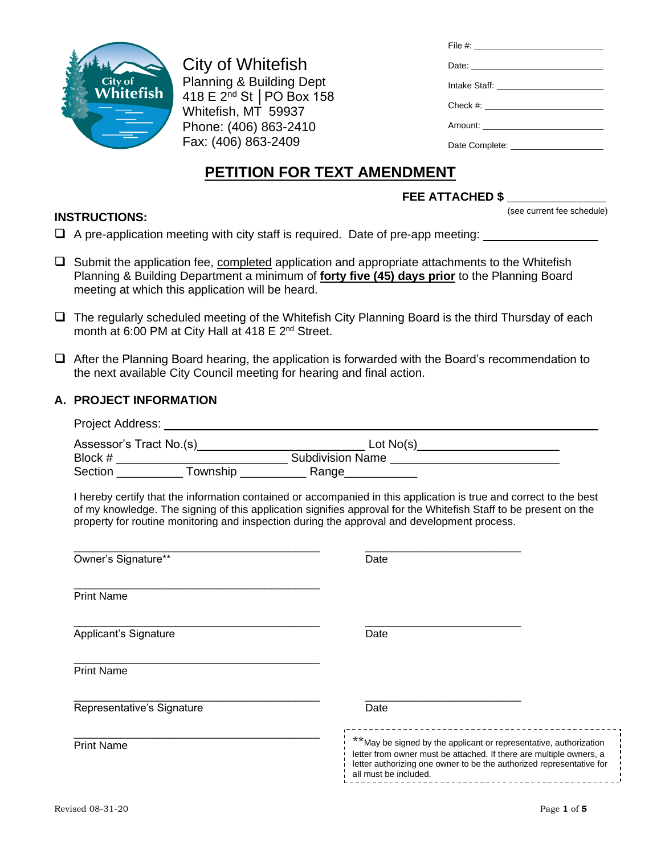

**INSTRUCTIONS:**

City of Whitefish Planning & Building Dept 418 E 2nd St │PO Box 158 Whitefish, MT 59937 Phone: (406) 863-2410 Fax: (406) 863-2409

| Date:                                |
|--------------------------------------|
| Intake Staff: ______________________ |
|                                      |
|                                      |
|                                      |
|                                      |

# **PETITION FOR TEXT AMENDMENT**

## **FEE ATTACHED \$ \_\_\_\_\_\_\_\_\_\_\_\_\_\_\_**

(see current fee schedule)

❑ A pre-application meeting with city staff is required. Date of pre-app meeting:

- $\Box$  Submit the application fee, completed application and appropriate attachments to the Whitefish Planning & Building Department a minimum of **forty five (45) days prior** to the Planning Board meeting at which this application will be heard.
- ❑ The regularly scheduled meeting of the Whitefish City Planning Board is the third Thursday of each month at 6:00 PM at City Hall at 418 E 2<sup>nd</sup> Street.
- ❑ After the Planning Board hearing, the application is forwarded with the Board's recommendation to the next available City Council meeting for hearing and final action.

#### **A. PROJECT INFORMATION**

| Project Address: The Contract of the Contract of the Contract of the Contract of the Contract of the Contract of the Contract of the Contract of the Contract of the Contract of the Contract of the Contract of the Contract |                                                                                                                                                                                                                                                                         |
|-------------------------------------------------------------------------------------------------------------------------------------------------------------------------------------------------------------------------------|-------------------------------------------------------------------------------------------------------------------------------------------------------------------------------------------------------------------------------------------------------------------------|
|                                                                                                                                                                                                                               |                                                                                                                                                                                                                                                                         |
|                                                                                                                                                                                                                               |                                                                                                                                                                                                                                                                         |
|                                                                                                                                                                                                                               |                                                                                                                                                                                                                                                                         |
| property for routine monitoring and inspection during the approval and development process.                                                                                                                                   | I hereby certify that the information contained or accompanied in this application is true and correct to the best<br>of my knowledge. The signing of this application signifies approval for the Whitefish Staff to be present on the                                  |
| Owner's Signature**                                                                                                                                                                                                           | Date                                                                                                                                                                                                                                                                    |
| <b>Print Name</b>                                                                                                                                                                                                             |                                                                                                                                                                                                                                                                         |
| Applicant's Signature                                                                                                                                                                                                         | Date                                                                                                                                                                                                                                                                    |
| <b>Print Name</b>                                                                                                                                                                                                             |                                                                                                                                                                                                                                                                         |
| Representative's Signature                                                                                                                                                                                                    | Date                                                                                                                                                                                                                                                                    |
| <b>Print Name</b>                                                                                                                                                                                                             | __________________________<br>**May be signed by the applicant or representative, authorization<br>letter from owner must be attached. If there are multiple owners, a<br>letter authorizing one owner to be the authorized representative for<br>all must be included. |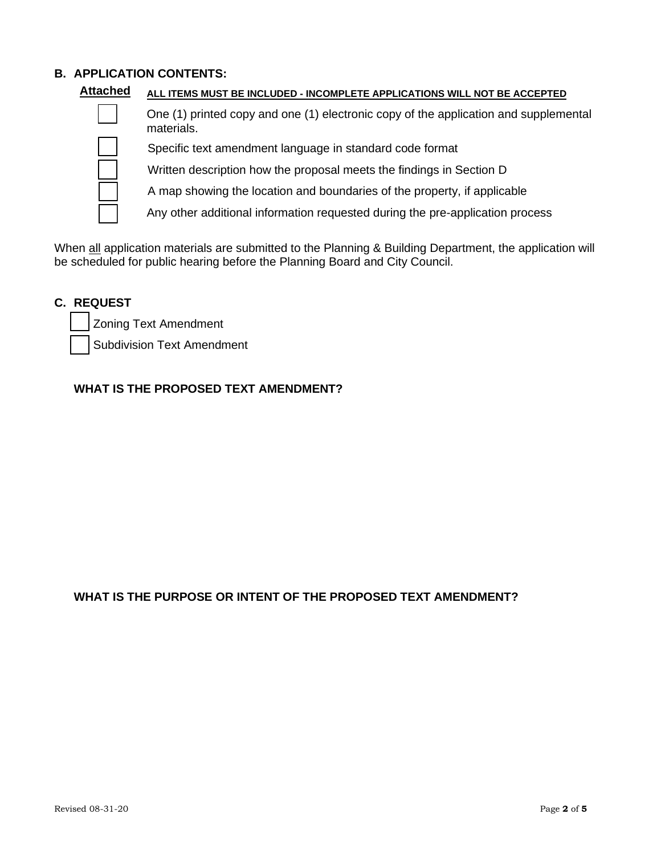# **B. APPLICATION CONTENTS:**

| <b>Attached</b> | ALL ITEMS MUST BE INCLUDED - INCOMPLETE APPLICATIONS WILL NOT BE ACCEPTED                          |
|-----------------|----------------------------------------------------------------------------------------------------|
|                 | One (1) printed copy and one (1) electronic copy of the application and supplemental<br>materials. |
|                 | Specific text amendment language in standard code format                                           |
|                 | Written description how the proposal meets the findings in Section D                               |
|                 | A map showing the location and boundaries of the property, if applicable                           |
|                 | Any other additional information requested during the pre-application process                      |
|                 |                                                                                                    |

When all application materials are submitted to the Planning & Building Department, the application will be scheduled for public hearing before the Planning Board and City Council.

## **C. REQUEST**

❑ Zoning Text Amendment

Subdivision Text Amendment

### **WHAT IS THE PROPOSED TEXT AMENDMENT?**

### **WHAT IS THE PURPOSE OR INTENT OF THE PROPOSED TEXT AMENDMENT?**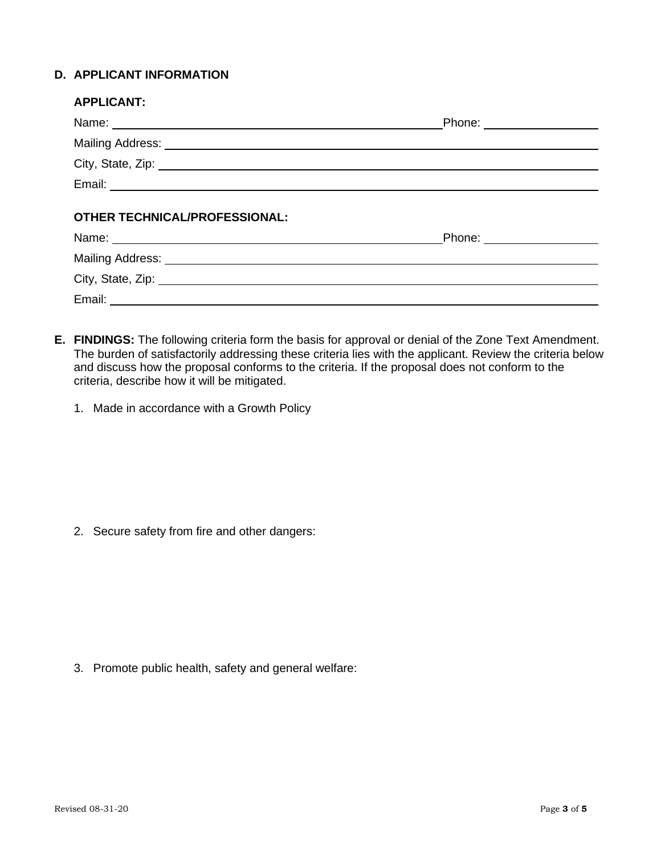## **D. APPLICANT INFORMATION**

| Phone: ___________________                                                                                                                                                                                                     |
|--------------------------------------------------------------------------------------------------------------------------------------------------------------------------------------------------------------------------------|
|                                                                                                                                                                                                                                |
| City, State, Zip: 2008. Experience of the State of Table 1999.                                                                                                                                                                 |
|                                                                                                                                                                                                                                |
|                                                                                                                                                                                                                                |
| Name: Name: Name: Name: Name: Name: Name: Name: Name: Name: Name: Name: Name: Name: Name: Name: Name: Name: Name: Name: Name: Name: Name: Name: Name: Name: Name: Name: Name: Name: Name: Name: Name: Name: Name: Name: Name:  |
|                                                                                                                                                                                                                                |
| City, State, Zip: 2008. Experience of the State of Table 1999. The State of Table 1999. The State of Table 1999. The State of Table 1999. The State of Table 1999. The State of Table 1999. The State of Table 1999. The State |
|                                                                                                                                                                                                                                |
|                                                                                                                                                                                                                                |

- **E. FINDINGS:** The following criteria form the basis for approval or denial of the Zone Text Amendment. The burden of satisfactorily addressing these criteria lies with the applicant. Review the criteria below and discuss how the proposal conforms to the criteria. If the proposal does not conform to the criteria, describe how it will be mitigated.
	- 1. Made in accordance with a Growth Policy

2. Secure safety from fire and other dangers:

3. Promote public health, safety and general welfare: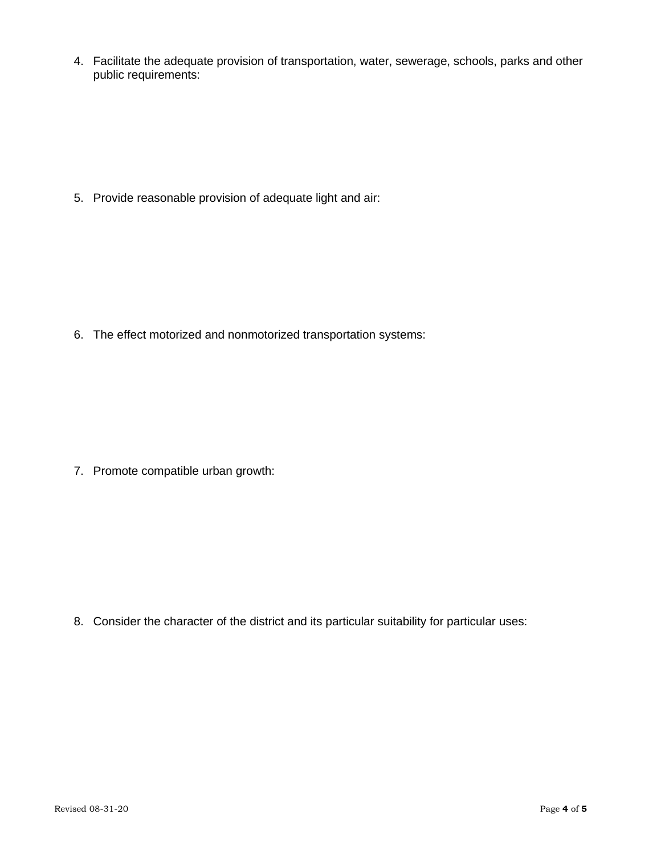4. Facilitate the adequate provision of transportation, water, sewerage, schools, parks and other public requirements:

5. Provide reasonable provision of adequate light and air:

6. The effect motorized and nonmotorized transportation systems:

7. Promote compatible urban growth:

8. Consider the character of the district and its particular suitability for particular uses: